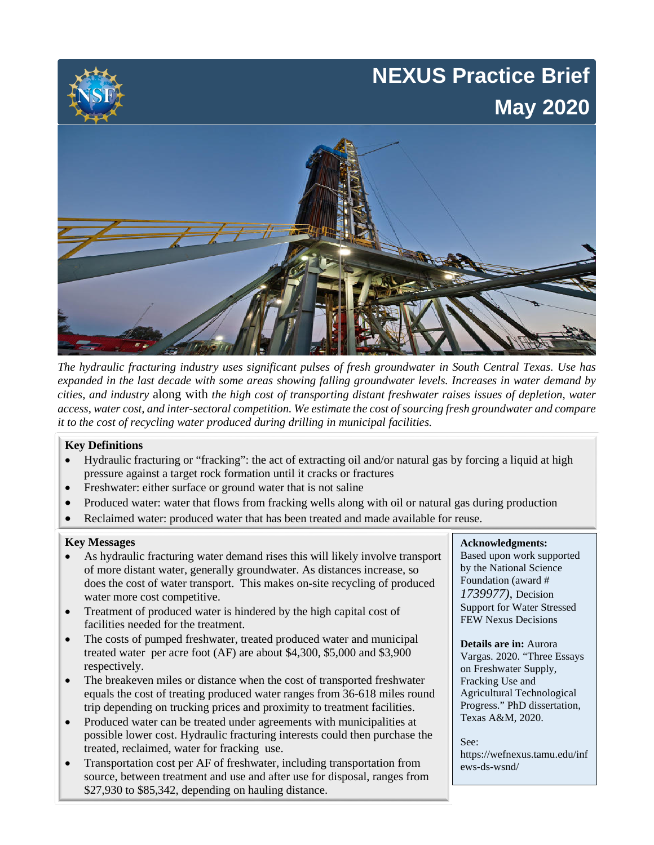# **NEXUS Practice Brief May 2020**



*The hydraulic fracturing industry uses significant pulses of fresh groundwater in South Central Texas. Use has expanded in the last decade with some areas showing falling groundwater levels. Increases in water demand by cities, and industry* along with *the high cost of transporting distant freshwater raises issues of depletion, water access, water cost, and inter-sectoral competition. We estimate the cost of sourcing fresh groundwater and compare it to the cost of recycling water produced during drilling in municipal facilities.* 

### **Key Definitions**

- Hydraulic fracturing or "fracking": the act of extracting oil and/or natural gas by forcing a liquid at high pressure against a target rock formation until it cracks or fractures
- Freshwater: either surface or ground water that is not saline
- Produced water: water that flows from fracking wells along with oil or natural gas during production
- Reclaimed water: produced water that has been treated and made available for reuse.

### **Key Messages**

- As hydraulic fracturing water demand rises this will likely involve transport of more distant water, generally groundwater. As distances increase, so does the cost of water transport. This makes on-site recycling of produced water more cost competitive.
- Treatment of produced water is hindered by the high capital cost of facilities needed for the treatment.
- The costs of pumped freshwater, treated produced water and municipal treated water per acre foot (AF) are about \$4,300, \$5,000 and \$3,900 respectively.
- The breakeven miles or distance when the cost of transported freshwater equals the cost of treating produced water ranges from 36-618 miles round trip depending on trucking prices and proximity to treatment facilities.
- Produced water can be treated under agreements with municipalities at possible lower cost. Hydraulic fracturing interests could then purchase the treated, reclaimed, water for fracking use.
- Transportation cost per AF of freshwater, including transportation from source, between treatment and use and after use for disposal, ranges from \$27,930 to \$85,342, depending on hauling distance.

### **Acknowledgments:**

Based upon work supported by the National Science Foundation (award # *1739977),* Decision Support for Water Stressed FEW Nexus Decisions

#### **Details are in:** Aurora

Vargas. 2020. "Three Essays on Freshwater Supply, Fracking Use and Agricultural Technological Progress." PhD dissertation, Texas A&M, 2020.

See: https://wefnexus.tamu.edu/inf ews-ds-wsnd/